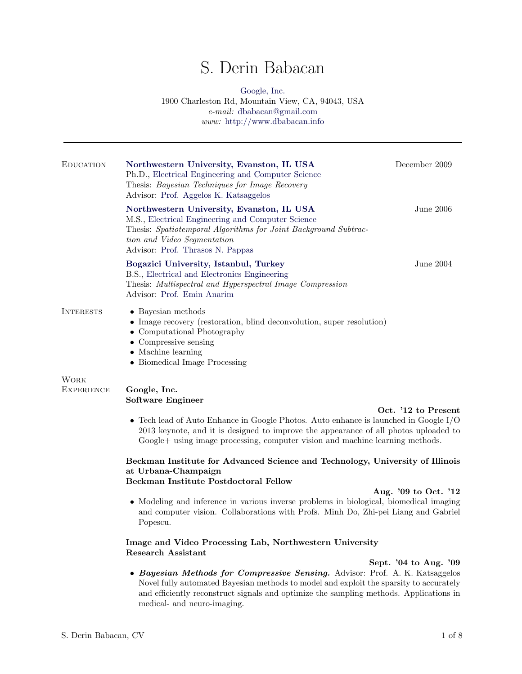# S. Derin Babacan

## [Google, Inc.](www.google.com) 1900 Charleston Rd, Mountain View, CA, 94043, USA e-mail: [dbabacan@gmail.com](mailto:dbabacan@gmail.com) www: <http://www.dbabacan.info>

| EDUCATION                 | Northwestern University, Evanston, IL USA<br>Ph.D., Electrical Engineering and Computer Science<br>Thesis: Bayesian Techniques for Image Recovery<br>Advisor: Prof. Aggelos K. Katsaggelos                                                                                                      | December 2009         |  |
|---------------------------|-------------------------------------------------------------------------------------------------------------------------------------------------------------------------------------------------------------------------------------------------------------------------------------------------|-----------------------|--|
|                           | Northwestern University, Evanston, IL USA<br>M.S., Electrical Engineering and Computer Science<br>Thesis: Spatiotemporal Algorithms for Joint Background Subtrac-<br>tion and Video Segmentation<br>Advisor: Prof. Thrasos N. Pappas                                                            | June 2006             |  |
|                           | Bogazici University, Istanbul, Turkey<br>B.S., Electrical and Electronics Engineering<br>Thesis: Multispectral and Hyperspectral Image Compression<br>Advisor: Prof. Emin Anarim                                                                                                                | June 2004             |  |
| <b>INTERESTS</b>          | • Bayesian methods<br>• Image recovery (restoration, blind deconvolution, super resolution)<br>• Computational Photography<br>$\bullet$ Compressive sensing<br>$\bullet$ Machine learning<br>• Biomedical Image Processing                                                                      |                       |  |
| WORK<br><b>EXPERIENCE</b> | Google, Inc.<br><b>Software Engineer</b>                                                                                                                                                                                                                                                        |                       |  |
|                           | Oct. '12 to Present<br>$\bullet$ Tech lead of Auto Enhance in Google Photos. Auto enhance is launched in Google I/O<br>2013 keynote, and it is designed to improve the appearance of all photos uploaded to<br>Google+ using image processing, computer vision and machine learning methods.    |                       |  |
|                           | Beckman Institute for Advanced Science and Technology, University of Illinois<br>at Urbana-Champaign<br>Beckman Institute Postdoctoral Fellow                                                                                                                                                   |                       |  |
|                           | Aug. '09 to Oct. '12<br>• Modeling and inference in various inverse problems in biological, biomedical imaging<br>and computer vision. Collaborations with Profs. Minh Do, Zhi-pei Liang and Gabriel<br>Popescu.                                                                                |                       |  |
|                           | Image and Video Processing Lab, Northwestern University<br><b>Research Assistant</b>                                                                                                                                                                                                            |                       |  |
|                           | • Bayesian Methods for Compressive Sensing. Advisor: Prof. A. K. Katsaggelos<br>Novel fully automated Bayesian methods to model and exploit the sparsity to accurately<br>and efficiently reconstruct signals and optimize the sampling methods. Applications in<br>medical- and neuro-imaging. | Sept. '04 to Aug. '09 |  |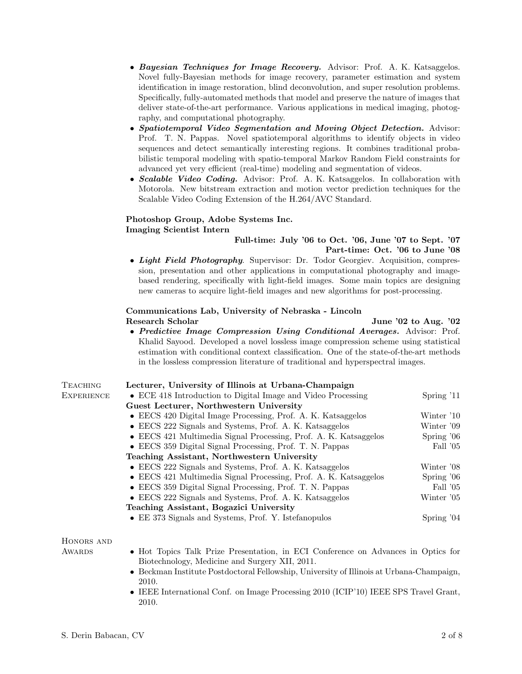- Bayesian Techniques for Image Recovery. Advisor: Prof. A. K. Katsaggelos. Novel fully-Bayesian methods for image recovery, parameter estimation and system identification in image restoration, blind deconvolution, and super resolution problems. Specifically, fully-automated methods that model and preserve the nature of images that deliver state-of-the-art performance. Various applications in medical imaging, photography, and computational photography.
- Spatiotemporal Video Segmentation and Moving Object Detection. Advisor: Prof. T. N. Pappas. Novel spatiotemporal algorithms to identify objects in video sequences and detect semantically interesting regions. It combines traditional probabilistic temporal modeling with spatio-temporal Markov Random Field constraints for advanced yet very efficient (real-time) modeling and segmentation of videos.
- Scalable Video Coding. Advisor: Prof. A. K. Katsaggelos. In collaboration with Motorola. New bitstream extraction and motion vector prediction techniques for the Scalable Video Coding Extension of the H.264/AVC Standard.

#### Photoshop Group, Adobe Systems Inc. Imaging Scientist Intern

## Full-time: July '06 to Oct. '06, June '07 to Sept. '07 Part-time: Oct. '06 to June '08

• Light Field Photography. Supervisor: Dr. Todor Georgiev. Acquisition, compression, presentation and other applications in computational photography and imagebased rendering, specifically with light-field images. Some main topics are designing new cameras to acquire light-field images and new algorithms for post-processing.

#### Communications Lab, University of Nebraska - Lincoln Research Scholar June '02 to Aug. '02

• Predictive Image Compression Using Conditional Averages. Advisor: Prof. Khalid Sayood. Developed a novel lossless image compression scheme using statistical estimation with conditional context classification. One of the state-of-the-art methods in the lossless compression literature of traditional and hyperspectral images.

| <b>TEACHING</b>   | Lecturer, University of Illinois at Urbana-Champaign                                                                                |              |  |
|-------------------|-------------------------------------------------------------------------------------------------------------------------------------|--------------|--|
| <b>EXPERIENCE</b> | • ECE 418 Introduction to Digital Image and Video Processing                                                                        | Spring $'11$ |  |
|                   | Guest Lecturer, Northwestern University                                                                                             |              |  |
|                   | • EECS 420 Digital Image Processing, Prof. A. K. Katsaggelos                                                                        | Winter '10   |  |
|                   | • EECS 222 Signals and Systems, Prof. A. K. Katsaggelos                                                                             | Winter '09   |  |
|                   | • EECS 421 Multimedia Signal Processing, Prof. A. K. Katsaggelos                                                                    | Spring $'06$ |  |
|                   | • EECS 359 Digital Signal Processing, Prof. T. N. Pappas                                                                            | Fall '05     |  |
|                   | Teaching Assistant, Northwestern University                                                                                         |              |  |
|                   | • EECS 222 Signals and Systems, Prof. A. K. Katsaggelos                                                                             | Winter '08   |  |
|                   | • EECS 421 Multimedia Signal Processing, Prof. A. K. Katsaggelos                                                                    | Spring $'06$ |  |
|                   | • EECS 359 Digital Signal Processing, Prof. T. N. Pappas                                                                            | Fall '05     |  |
|                   | • EECS 222 Signals and Systems, Prof. A. K. Katsaggelos                                                                             | Winter '05   |  |
|                   | Teaching Assistant, Bogazici University                                                                                             |              |  |
|                   | • EE 373 Signals and Systems, Prof. Y. Istefanopulos                                                                                | Spring $'04$ |  |
| HONORS AND        |                                                                                                                                     |              |  |
| AWARDS            | • Hot Topics Talk Prize Presentation, in ECI Conference on Advances in Optics for<br>Biotechnology, Medicine and Surgery XII, 2011. |              |  |
|                   | . Declare result that the Deck Joseph Dell care the Historical Left Historical Historical Oleman Ch                                 |              |  |

- Beckman Institute Postdoctoral Fellowship, University of Illinois at Urbana-Champaign, 2010.
- IEEE International Conf. on Image Processing 2010 (ICIP'10) IEEE SPS Travel Grant, 2010.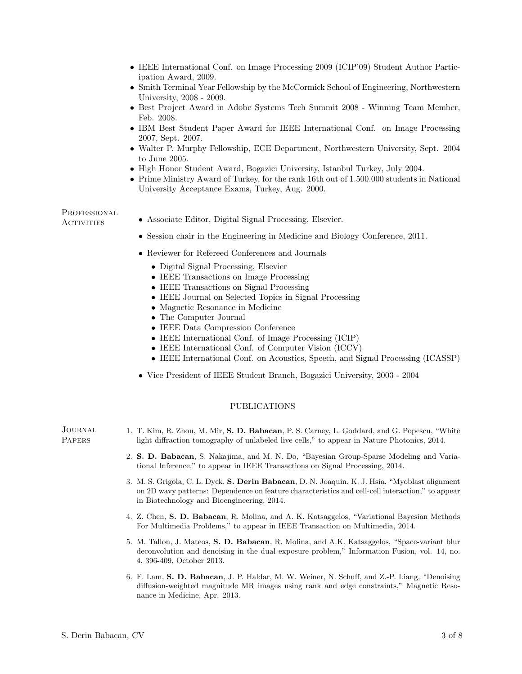- IEEE International Conf. on Image Processing 2009 (ICIP'09) Student Author Participation Award, 2009.
- Smith Terminal Year Fellowship by the McCormick School of Engineering, Northwestern University, 2008 - 2009.
- Best Project Award in Adobe Systems Tech Summit 2008 Winning Team Member, Feb. 2008.
- IBM Best Student Paper Award for IEEE International Conf. on Image Processing 2007, Sept. 2007.
- Walter P. Murphy Fellowship, ECE Department, Northwestern University, Sept. 2004 to June 2005.
- High Honor Student Award, Bogazici University, Istanbul Turkey, July 2004.
- Prime Ministry Award of Turkey, for the rank 16th out of 1.500.000 students in National University Acceptance Exams, Turkey, Aug. 2000.

PROFESSIONAL

- Activities Associate Editor, Digital Signal Processing, Elsevier.
	- Session chair in the Engineering in Medicine and Biology Conference, 2011.
	- Reviewer for Refereed Conferences and Journals
		- Digital Signal Processing, Elsevier
		- IEEE Transactions on Image Processing
		- IEEE Transactions on Signal Processing
		- IEEE Journal on Selected Topics in Signal Processing
		- Magnetic Resonance in Medicine
		- The Computer Journal
		- IEEE Data Compression Conference
		- IEEE International Conf. of Image Processing (ICIP)
		- IEEE International Conf. of Computer Vision (ICCV)
		- IEEE International Conf. on Acoustics, Speech, and Signal Processing (ICASSP)
	- Vice President of IEEE Student Branch, Bogazici University, 2003 2004

#### PUBLICATIONS

Journal **PAPERS** 1. T. Kim, R. Zhou, M. Mir, S. D. Babacan, P. S. Carney, L. Goddard, and G. Popescu, "White light diffraction tomography of unlabeled live cells," to appear in Nature Photonics, 2014. 2. S. D. Babacan, S. Nakajima, and M. N. Do, "Bayesian Group-Sparse Modeling and Variational Inference," to appear in IEEE Transactions on Signal Processing, 2014. 3. M. S. Grigola, C. L. Dyck, S. Derin Babacan, D. N. Joaquin, K. J. Hsia, "Myoblast alignment on 2D wavy patterns: Dependence on feature characteristics and cell-cell interaction," to appear in Biotechnology and Bioengineering, 2014. 4. Z. Chen, S. D. Babacan, R. Molina, and A. K. Katsaggelos, "Variational Bayesian Methods For Multimedia Problems," to appear in IEEE Transaction on Multimedia, 2014. 5. M. Tallon, J. Mateos, S. D. Babacan, R. Molina, and A.K. Katsaggelos, "Space-variant blur deconvolution and denoising in the dual exposure problem," Information Fusion, vol. 14, no. 4, 396-409, October 2013.

6. F. Lam, S. D. Babacan, J. P. Haldar, M. W. Weiner, N. Schuff, and Z.-P. Liang, "Denoising diffusion-weighted magnitude MR images using rank and edge constraints," Magnetic Resonance in Medicine, Apr. 2013.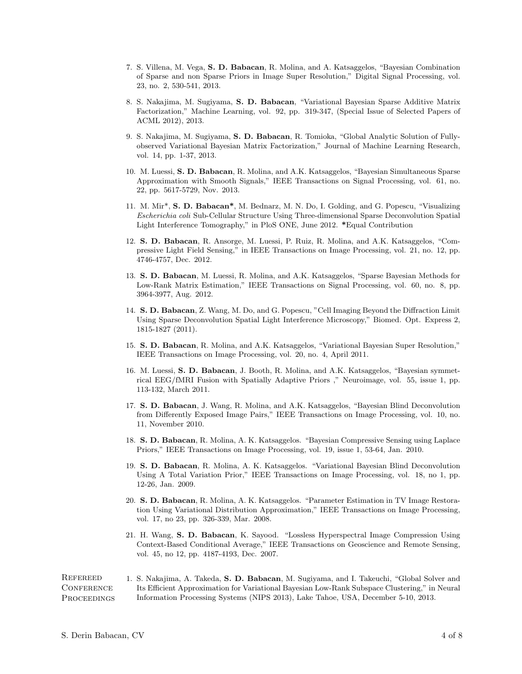- 7. S. Villena, M. Vega, S. D. Babacan, R. Molina, and A. Katsaggelos, "Bayesian Combination of Sparse and non Sparse Priors in Image Super Resolution," Digital Signal Processing, vol. 23, no. 2, 530-541, 2013.
- 8. S. Nakajima, M. Sugiyama, S. D. Babacan, "Variational Bayesian Sparse Additive Matrix Factorization," Machine Learning, vol. 92, pp. 319-347, (Special Issue of Selected Papers of ACML 2012), 2013.
- 9. S. Nakajima, M. Sugiyama, S. D. Babacan, R. Tomioka, "Global Analytic Solution of Fullyobserved Variational Bayesian Matrix Factorization," Journal of Machine Learning Research, vol. 14, pp. 1-37, 2013.
- 10. M. Luessi, S. D. Babacan, R. Molina, and A.K. Katsaggelos, "Bayesian Simultaneous Sparse Approximation with Smooth Signals," IEEE Transactions on Signal Processing, vol. 61, no. 22, pp. 5617-5729, Nov. 2013.
- 11. M. Mir\*, S. D. Babacan\*, M. Bednarz, M. N. Do, I. Golding, and G. Popescu, "Visualizing Escherichia coli Sub-Cellular Structure Using Three-dimensional Sparse Deconvolution Spatial Light Interference Tomography," in PloS ONE, June 2012. \*Equal Contribution
- 12. S. D. Babacan, R. Ansorge, M. Luessi, P. Ruiz, R. Molina, and A.K. Katsaggelos, "Compressive Light Field Sensing," in IEEE Transactions on Image Processing, vol. 21, no. 12, pp. 4746-4757, Dec. 2012.
- 13. S. D. Babacan, M. Luessi, R. Molina, and A.K. Katsaggelos, "Sparse Bayesian Methods for Low-Rank Matrix Estimation," IEEE Transactions on Signal Processing, vol. 60, no. 8, pp. 3964-3977, Aug. 2012.
- 14. S. D. Babacan, Z. Wang, M. Do, and G. Popescu, "Cell Imaging Beyond the Diffraction Limit Using Sparse Deconvolution Spatial Light Interference Microscopy," Biomed. Opt. Express 2, 1815-1827 (2011).
- 15. S. D. Babacan, R. Molina, and A.K. Katsaggelos, "Variational Bayesian Super Resolution," IEEE Transactions on Image Processing, vol. 20, no. 4, April 2011.
- 16. M. Luessi, S. D. Babacan, J. Booth, R. Molina, and A.K. Katsaggelos, "Bayesian symmetrical EEG/fMRI Fusion with Spatially Adaptive Priors ," Neuroimage, vol. 55, issue 1, pp. 113-132, March 2011.
- 17. S. D. Babacan, J. Wang, R. Molina, and A.K. Katsaggelos, "Bayesian Blind Deconvolution from Differently Exposed Image Pairs," IEEE Transactions on Image Processing, vol. 10, no. 11, November 2010.
- 18. S. D. Babacan, R. Molina, A. K. Katsaggelos. "Bayesian Compressive Sensing using Laplace Priors," IEEE Transactions on Image Processing, vol. 19, issue 1, 53-64, Jan. 2010.
- 19. S. D. Babacan, R. Molina, A. K. Katsaggelos. "Variational Bayesian Blind Deconvolution Using A Total Variation Prior," IEEE Transactions on Image Processing, vol. 18, no 1, pp. 12-26, Jan. 2009.
- 20. S. D. Babacan, R. Molina, A. K. Katsaggelos. "Parameter Estimation in TV Image Restoration Using Variational Distribution Approximation," IEEE Transactions on Image Processing, vol. 17, no 23, pp. 326-339, Mar. 2008.
- 21. H. Wang, S. D. Babacan, K. Sayood. "Lossless Hyperspectral Image Compression Using Context-Based Conditional Average," IEEE Transactions on Geoscience and Remote Sensing, vol. 45, no 12, pp. 4187-4193, Dec. 2007.

**REFEREED CONFERENCE PROCEEDINGS** 1. S. Nakajima, A. Takeda, S. D. Babacan, M. Sugiyama, and I. Takeuchi, "Global Solver and Its Efficient Approximation for Variational Bayesian Low-Rank Subspace Clustering," in Neural Information Processing Systems (NIPS 2013), Lake Tahoe, USA, December 5-10, 2013.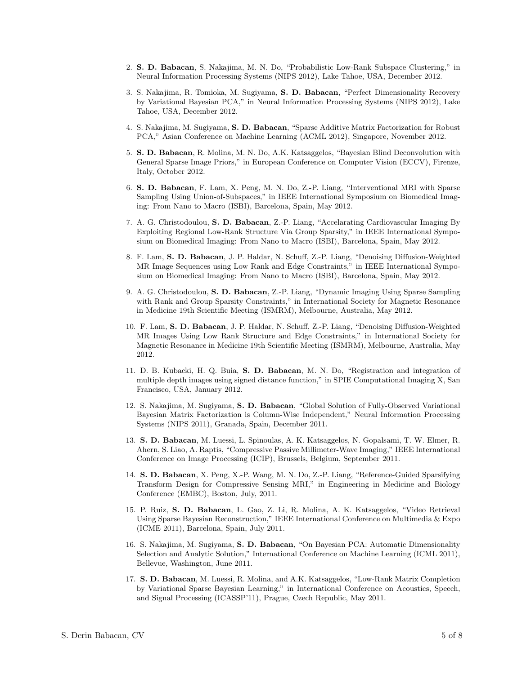- 2. S. D. Babacan, S. Nakajima, M. N. Do, "Probabilistic Low-Rank Subspace Clustering," in Neural Information Processing Systems (NIPS 2012), Lake Tahoe, USA, December 2012.
- 3. S. Nakajima, R. Tomioka, M. Sugiyama, S. D. Babacan, "Perfect Dimensionality Recovery by Variational Bayesian PCA," in Neural Information Processing Systems (NIPS 2012), Lake Tahoe, USA, December 2012.
- 4. S. Nakajima, M. Sugiyama, S. D. Babacan, "Sparse Additive Matrix Factorization for Robust PCA," Asian Conference on Machine Learning (ACML 2012), Singapore, November 2012.
- 5. S. D. Babacan, R. Molina, M. N. Do, A.K. Katsaggelos, "Bayesian Blind Deconvolution with General Sparse Image Priors," in European Conference on Computer Vision (ECCV), Firenze, Italy, October 2012.
- 6. S. D. Babacan, F. Lam, X. Peng, M. N. Do, Z.-P. Liang, "Interventional MRI with Sparse Sampling Using Union-of-Subspaces," in IEEE International Symposium on Biomedical Imaging: From Nano to Macro (ISBI), Barcelona, Spain, May 2012.
- 7. A. G. Christodoulou, S. D. Babacan, Z.-P. Liang, "Accelarating Cardiovascular Imaging By Exploiting Regional Low-Rank Structure Via Group Sparsity," in IEEE International Symposium on Biomedical Imaging: From Nano to Macro (ISBI), Barcelona, Spain, May 2012.
- 8. F. Lam, S. D. Babacan, J. P. Haldar, N. Schuff, Z.-P. Liang, "Denoising Diffusion-Weighted MR Image Sequences using Low Rank and Edge Constraints," in IEEE International Symposium on Biomedical Imaging: From Nano to Macro (ISBI), Barcelona, Spain, May 2012.
- 9. A. G. Christodoulou, S. D. Babacan, Z.-P. Liang, "Dynamic Imaging Using Sparse Sampling with Rank and Group Sparsity Constraints," in International Society for Magnetic Resonance in Medicine 19th Scientific Meeting (ISMRM), Melbourne, Australia, May 2012.
- 10. F. Lam, S. D. Babacan, J. P. Haldar, N. Schuff, Z.-P. Liang, "Denoising Diffusion-Weighted MR Images Using Low Rank Structure and Edge Constraints," in International Society for Magnetic Resonance in Medicine 19th Scientific Meeting (ISMRM), Melbourne, Australia, May 2012.
- 11. D. B. Kubacki, H. Q. Buia, S. D. Babacan, M. N. Do, "Registration and integration of multiple depth images using signed distance function," in SPIE Computational Imaging X, San Francisco, USA, January 2012.
- 12. S. Nakajima, M. Sugiyama, S. D. Babacan, "Global Solution of Fully-Observed Variational Bayesian Matrix Factorization is Column-Wise Independent," Neural Information Processing Systems (NIPS 2011), Granada, Spain, December 2011.
- 13. S. D. Babacan, M. Luessi, L. Spinoulas, A. K. Katsaggelos, N. Gopalsami, T. W. Elmer, R. Ahern, S. Liao, A. Raptis, "Compressive Passive Millimeter-Wave Imaging," IEEE International Conference on Image Processing (ICIP), Brussels, Belgium, September 2011.
- 14. S. D. Babacan, X. Peng, X.-P. Wang, M. N. Do, Z.-P. Liang, "Reference-Guided Sparsifying Transform Design for Compressive Sensing MRI," in Engineering in Medicine and Biology Conference (EMBC), Boston, July, 2011.
- 15. P. Ruiz, S. D. Babacan, L. Gao, Z. Li, R. Molina, A. K. Katsaggelos, "Video Retrieval Using Sparse Bayesian Reconstruction," IEEE International Conference on Multimedia & Expo (ICME 2011), Barcelona, Spain, July 2011.
- 16. S. Nakajima, M. Sugiyama, S. D. Babacan, "On Bayesian PCA: Automatic Dimensionality Selection and Analytic Solution," International Conference on Machine Learning (ICML 2011), Bellevue, Washington, June 2011.
- 17. S. D. Babacan, M. Luessi, R. Molina, and A.K. Katsaggelos, "Low-Rank Matrix Completion by Variational Sparse Bayesian Learning," in International Conference on Acoustics, Speech, and Signal Processing (ICASSP'11), Prague, Czech Republic, May 2011.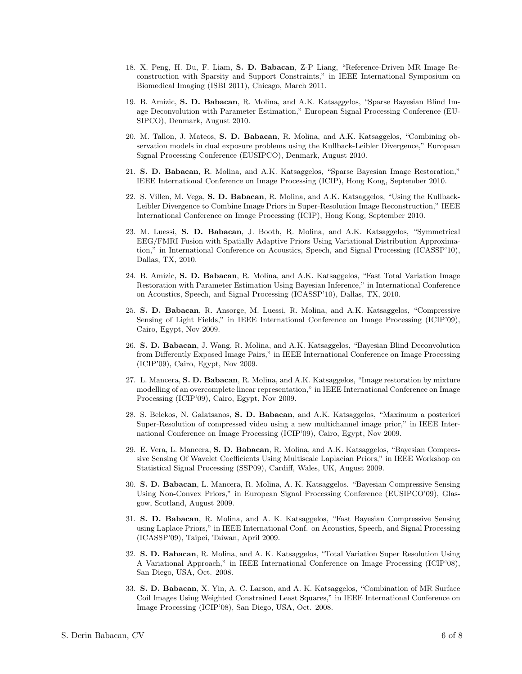- 18. X. Peng, H. Du, F. Liam, S. D. Babacan, Z-P Liang, "Reference-Driven MR Image Reconstruction with Sparsity and Support Constraints," in IEEE International Symposium on Biomedical Imaging (ISBI 2011), Chicago, March 2011.
- 19. B. Amizic, S. D. Babacan, R. Molina, and A.K. Katsaggelos, "Sparse Bayesian Blind Image Deconvolution with Parameter Estimation," European Signal Processing Conference (EU-SIPCO), Denmark, August 2010.
- 20. M. Tallon, J. Mateos, S. D. Babacan, R. Molina, and A.K. Katsaggelos, "Combining observation models in dual exposure problems using the Kullback-Leibler Divergence," European Signal Processing Conference (EUSIPCO), Denmark, August 2010.
- 21. S. D. Babacan, R. Molina, and A.K. Katsaggelos, "Sparse Bayesian Image Restoration," IEEE International Conference on Image Processing (ICIP), Hong Kong, September 2010.
- 22. S. Villen, M. Vega, S. D. Babacan, R. Molina, and A.K. Katsaggelos, "Using the Kullback-Leibler Divergence to Combine Image Priors in Super-Resolution Image Reconstruction," IEEE International Conference on Image Processing (ICIP), Hong Kong, September 2010.
- 23. M. Luessi, S. D. Babacan, J. Booth, R. Molina, and A.K. Katsaggelos, "Symmetrical EEG/FMRI Fusion with Spatially Adaptive Priors Using Variational Distribution Approximation," in International Conference on Acoustics, Speech, and Signal Processing (ICASSP'10), Dallas, TX, 2010.
- 24. B. Amizic, S. D. Babacan, R. Molina, and A.K. Katsaggelos, "Fast Total Variation Image Restoration with Parameter Estimation Using Bayesian Inference," in International Conference on Acoustics, Speech, and Signal Processing (ICASSP'10), Dallas, TX, 2010.
- 25. S. D. Babacan, R. Ansorge, M. Luessi, R. Molina, and A.K. Katsaggelos, "Compressive Sensing of Light Fields," in IEEE International Conference on Image Processing (ICIP'09), Cairo, Egypt, Nov 2009.
- 26. S. D. Babacan, J. Wang, R. Molina, and A.K. Katsaggelos, "Bayesian Blind Deconvolution from Differently Exposed Image Pairs," in IEEE International Conference on Image Processing (ICIP'09), Cairo, Egypt, Nov 2009.
- 27. L. Mancera, S. D. Babacan, R. Molina, and A.K. Katsaggelos, "Image restoration by mixture modelling of an overcomplete linear representation," in IEEE International Conference on Image Processing (ICIP'09), Cairo, Egypt, Nov 2009.
- 28. S. Belekos, N. Galatsanos, S. D. Babacan, and A.K. Katsaggelos, "Maximum a posteriori Super-Resolution of compressed video using a new multichannel image prior," in IEEE International Conference on Image Processing (ICIP'09), Cairo, Egypt, Nov 2009.
- 29. E. Vera, L. Mancera, S. D. Babacan, R. Molina, and A.K. Katsaggelos, "Bayesian Compressive Sensing Of Wavelet Coefficients Using Multiscale Laplacian Priors," in IEEE Workshop on Statistical Signal Processing (SSP09), Cardiff, Wales, UK, August 2009.
- 30. S. D. Babacan, L. Mancera, R. Molina, A. K. Katsaggelos. "Bayesian Compressive Sensing Using Non-Convex Priors," in European Signal Processing Conference (EUSIPCO'09), Glasgow, Scotland, August 2009.
- 31. S. D. Babacan, R. Molina, and A. K. Katsaggelos, "Fast Bayesian Compressive Sensing using Laplace Priors," in IEEE International Conf. on Acoustics, Speech, and Signal Processing (ICASSP'09), Taipei, Taiwan, April 2009.
- 32. S. D. Babacan, R. Molina, and A. K. Katsaggelos, "Total Variation Super Resolution Using A Variational Approach," in IEEE International Conference on Image Processing (ICIP'08), San Diego, USA, Oct. 2008.
- 33. S. D. Babacan, X. Yin, A. C. Larson, and A. K. Katsaggelos, "Combination of MR Surface Coil Images Using Weighted Constrained Least Squares," in IEEE International Conference on Image Processing (ICIP'08), San Diego, USA, Oct. 2008.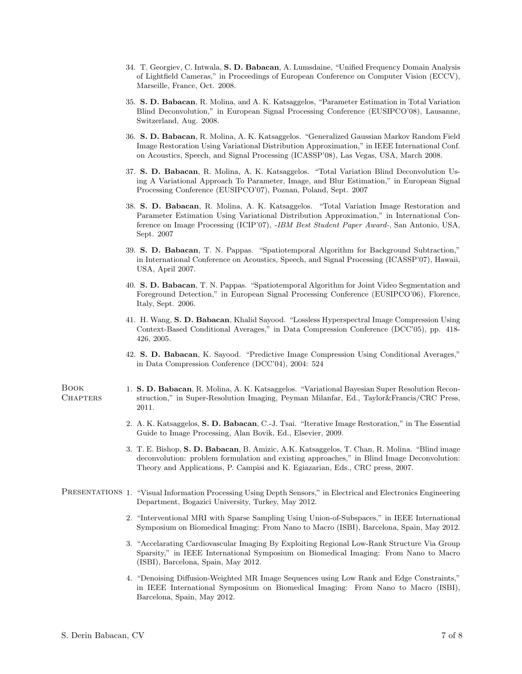- 34. T. Georgiev, C. Intwala, S. D. Babacan, A. Lumsdaine, "Unified Frequency Domain Analysis of Lightfield Cameras," in Proceedings of European Conference on Computer Vision (ECCV), Marseille, France, Oct. 2008.
- 35. S. D. Babacan, R. Molina, and A. K. Katsaggelos, "Parameter Estimation in Total Variation Blind Deconvolution," in European Signal Processing Conference (EUSIPCO'08), Lausanne, Switzerland, Aug. 2008.
- 36. S. D. Babacan, R. Molina, A. K. Katsaggelos. "Generalized Gaussian Markov Random Field Image Restoration Using Variational Distribution Approximation," in IEEE International Conf. on Acoustics, Speech, and Signal Processing (ICASSP'08), Las Vegas, USA, March 2008.
- 37. S. D. Babacan, R. Molina, A. K. Katsaggelos. "Total Variation Blind Deconvolution Using A Variational Approach To Parameter, Image, and Blur Estimation," in European Signal Processing Conference (EUSIPCO'07), Poznan, Poland, Sept. 2007
- 38. S. D. Babacan, R. Molina, A. K. Katsaggelos. "Total Variation Image Restoration and Parameter Estimation Using Variational Distribution Approximation," in International Conference on Image Processing (ICIP'07), -IBM Best Student Paper Award-, San Antonio, USA, Sept. 2007
- 39. S. D. Babacan, T. N. Pappas. "Spatiotemporal Algorithm for Background Subtraction," in International Conference on Acoustics, Speech, and Signal Processing (ICASSP'07), Hawaii, USA, April 2007.
- 40. S. D. Babacan, T. N. Pappas. "Spatiotemporal Algorithm for Joint Video Segmentation and Foreground Detection," in European Signal Processing Conference (EUSIPCO'06), Florence, Italy, Sept. 2006.
- 41. H. Wang, S. D. Babacan, Khalid Sayood. "Lossless Hyperspectral Image Compression Using Context-Based Conditional Averages," in Data Compression Conference (DCC'05), pp. 418- 426, 2005.
- 42. S. D. Babacan, K. Sayood. "Predictive Image Compression Using Conditional Averages," in Data Compression Conference (DCC'04), 2004: 524
- 1. S. D. Babacan, R. Molina, A. K. Katsaggelos. "Variational Bayesian Super Resolution Reconstruction," in Super-Resolution Imaging, Peyman Milanfar, Ed., Taylor&Francis/CRC Press, 2011.
	- 2. A. K. Katsaggelos, S. D. Babacan, C.-J. Tsai. "Iterative Image Restoration," in The Essential Guide to Image Processing, Alan Bovik, Ed., Elsevier, 2009.
	- 3. T. E. Bishop, S. D. Babacan, B. Amizic, A.K. Katsaggelos, T. Chan, R. Molina. "Blind image deconvolution: problem formulation and existing approaches," in Blind Image Deconvolution: Theory and Applications, P. Campisi and K. Egiazarian, Eds., CRC press, 2007.
- PRESENTATIONS 1. "Visual Information Processing Using Depth Sensors," in Electrical and Electronics Engineering Department, Bogazici University, Turkey, May 2012.
	- 2. "Interventional MRI with Sparse Sampling Using Union-of-Subspaces," in IEEE International Symposium on Biomedical Imaging: From Nano to Macro (ISBI), Barcelona, Spain, May 2012.
	- 3. "Accelarating Cardiovascular Imaging By Exploiting Regional Low-Rank Structure Via Group Sparsity," in IEEE International Symposium on Biomedical Imaging: From Nano to Macro (ISBI), Barcelona, Spain, May 2012.
	- 4. "Denoising Diffusion-Weighted MR Image Sequences using Low Rank and Edge Constraints," in IEEE International Symposium on Biomedical Imaging: From Nano to Macro (ISBI), Barcelona, Spain, May 2012.

Book **CHAPTERS**